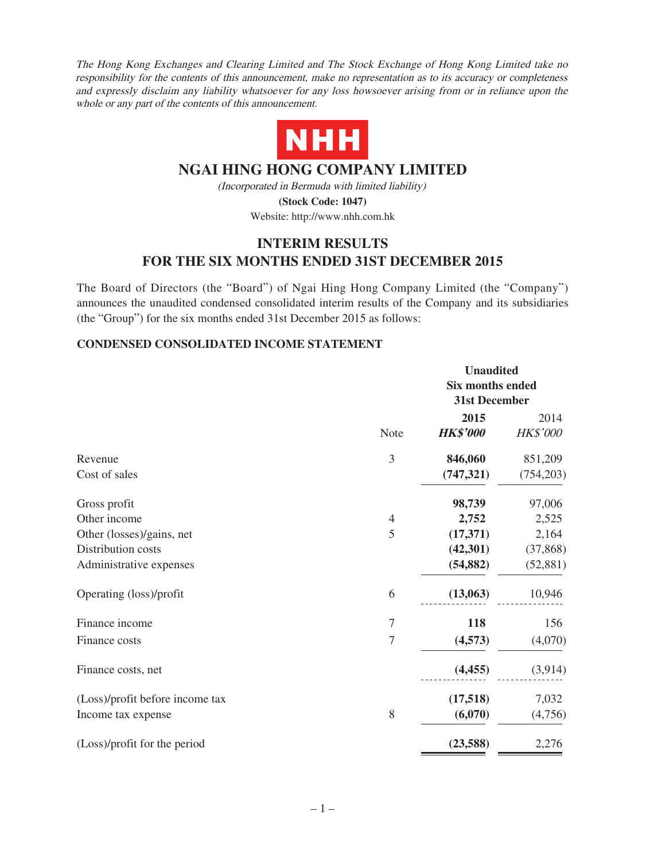The Hong Kong Exchanges and Clearing Limited and The Stock Exchange of Hong Kong Limited take no responsibility for the contents of this announcement, make no representation as to its accuracy or completeness and expressly disclaim any liability whatsoever for any loss howsoever arising from or in reliance upon the whole or any part of the contents of this announcement.



# **NGAI HING HONG COMPANY LIMITED**

(Incorporated in Bermuda with limited liability) **(Stock Code: 1047)**

Website: http://www.nhh.com.hk

# **INTERIM RESULTS FOR THE SIX MONTHS ENDED 31ST DECEMBER 2015**

The Board of Directors (the "Board") of Ngai Hing Hong Company Limited (the "Company") announces the unaudited condensed consolidated interim results of the Company and its subsidiaries (the "Group") for the six months ended 31st December 2015 as follows:

## **CONDENSED CONSOLIDATED INCOME STATEMENT**

|                                 |                  | <b>Unaudited</b>        |            |
|---------------------------------|------------------|-------------------------|------------|
|                                 |                  | <b>Six months ended</b> |            |
|                                 |                  | 31st December           |            |
|                                 |                  | 2015                    | 2014       |
|                                 | Note             | <b>HK\$'000</b>         | HK\$'000   |
| Revenue                         | 3                | 846,060                 | 851,209    |
| Cost of sales                   |                  | (747, 321)              | (754, 203) |
| Gross profit                    |                  | 98,739                  | 97,006     |
| Other income                    | $\overline{4}$   | 2,752                   | 2,525      |
| Other (losses)/gains, net       | 5                | (17, 371)               | 2,164      |
| Distribution costs              |                  | (42, 301)               | (37, 868)  |
| Administrative expenses         |                  | (54, 882)               | (52, 881)  |
| Operating (loss)/profit         | 6                | (13,063)                | 10,946     |
| Finance income                  | 7                | 118                     | 156        |
| Finance costs                   | $\boldsymbol{7}$ | (4,573)                 | (4,070)    |
| Finance costs, net              |                  | (4, 455)                | (3,914)    |
| (Loss)/profit before income tax |                  | (17,518)                | 7,032      |
| Income tax expense              | 8                | (6,070)                 | (4,756)    |
| (Loss)/profit for the period    |                  | (23,588)                | 2,276      |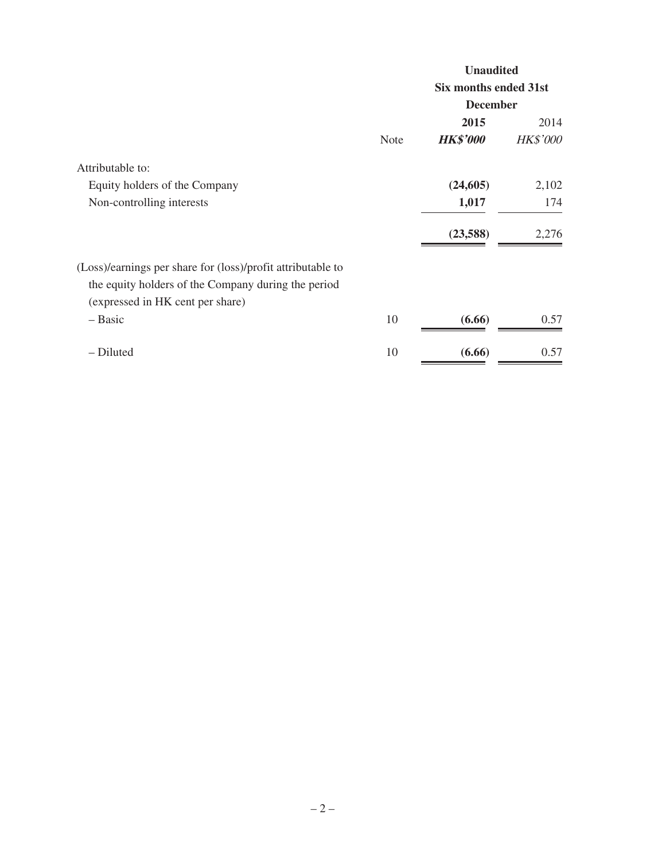|                                                             |             | <b>Unaudited</b>      |                 |
|-------------------------------------------------------------|-------------|-----------------------|-----------------|
|                                                             |             | Six months ended 31st |                 |
|                                                             |             | <b>December</b>       |                 |
|                                                             |             | 2015                  | 2014            |
|                                                             | <b>Note</b> | <b>HK\$'000</b>       | <b>HK\$'000</b> |
| Attributable to:                                            |             |                       |                 |
| Equity holders of the Company                               |             | (24, 605)             | 2,102           |
| Non-controlling interests                                   |             | 1,017                 | 174             |
|                                                             |             | (23,588)              | 2,276           |
| (Loss)/earnings per share for (loss)/profit attributable to |             |                       |                 |
| the equity holders of the Company during the period         |             |                       |                 |
| (expressed in HK cent per share)                            |             |                       |                 |
| – Basic                                                     | 10          | (6.66)                | 0.57            |
| - Diluted                                                   | 10          | (6.66)                | 0.57            |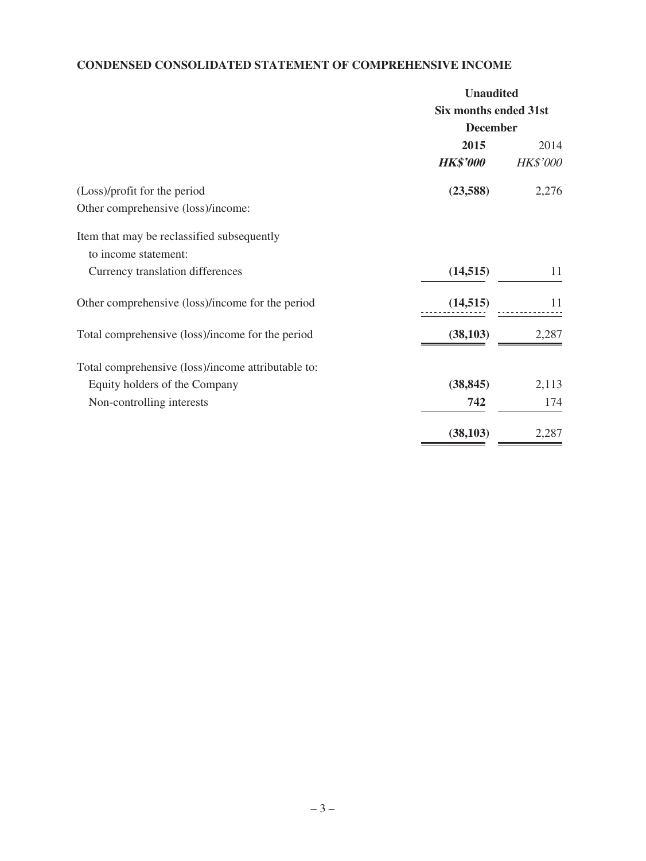# **CONDENSED CONSOLIDATED STATEMENT OF COMPREHENSIVE INCOME**

|                                                    | <b>Unaudited</b>             |                 |
|----------------------------------------------------|------------------------------|-----------------|
|                                                    | <b>Six months ended 31st</b> |                 |
|                                                    | <b>December</b>              |                 |
|                                                    | 2015                         | 2014            |
|                                                    | <b>HK\$'000</b>              | <b>HK\$'000</b> |
| (Loss)/profit for the period                       | (23,588)                     | 2,276           |
| Other comprehensive (loss)/income:                 |                              |                 |
| Item that may be reclassified subsequently         |                              |                 |
| to income statement:                               |                              |                 |
| Currency translation differences                   | (14, 515)                    | 11              |
| Other comprehensive (loss)/income for the period   | (14, 515)                    | 11              |
| Total comprehensive (loss)/income for the period   | (38, 103)                    | 2,287           |
| Total comprehensive (loss)/income attributable to: |                              |                 |
| Equity holders of the Company                      | (38, 845)                    | 2,113           |
| Non-controlling interests                          | 742                          | 174             |
|                                                    | (38, 103)                    | 2,287           |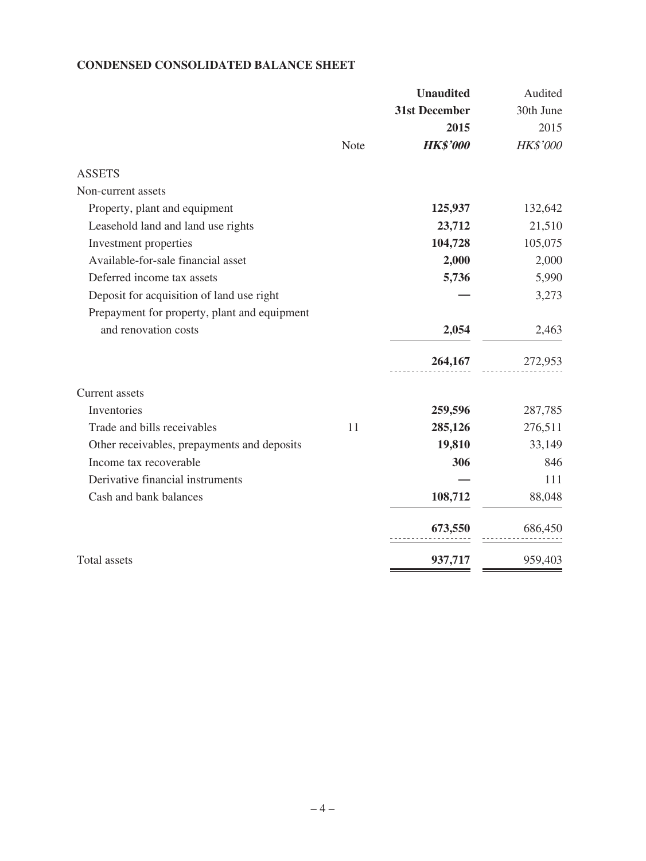## **CONDENSED CONSOLIDATED BALANCE SHEET**

| 31st December<br>2015<br><b>HK\$'000</b><br>Note<br><b>ASSETS</b><br>Non-current assets<br>125,937<br>Property, plant and equipment<br>Leasehold land and land use rights<br>23,712<br>104,728<br>Investment properties<br>Available-for-sale financial asset<br>2,000<br>Deferred income tax assets<br>5,736<br>Deposit for acquisition of land use right<br>Prepayment for property, plant and equipment<br>and renovation costs<br>2,054<br>264,167<br>Current assets<br>Inventories<br>259,596<br>Trade and bills receivables<br>11<br>285,126<br>Other receivables, prepayments and deposits<br>19,810<br>Income tax recoverable<br>306<br>Derivative financial instruments<br>Cash and bank balances<br>108,712<br>673,550<br><b>Total</b> assets<br>937,717 |  | <b>Unaudited</b> | Audited   |
|--------------------------------------------------------------------------------------------------------------------------------------------------------------------------------------------------------------------------------------------------------------------------------------------------------------------------------------------------------------------------------------------------------------------------------------------------------------------------------------------------------------------------------------------------------------------------------------------------------------------------------------------------------------------------------------------------------------------------------------------------------------------|--|------------------|-----------|
|                                                                                                                                                                                                                                                                                                                                                                                                                                                                                                                                                                                                                                                                                                                                                                    |  |                  | 30th June |
|                                                                                                                                                                                                                                                                                                                                                                                                                                                                                                                                                                                                                                                                                                                                                                    |  |                  | 2015      |
|                                                                                                                                                                                                                                                                                                                                                                                                                                                                                                                                                                                                                                                                                                                                                                    |  |                  | HK\$'000  |
|                                                                                                                                                                                                                                                                                                                                                                                                                                                                                                                                                                                                                                                                                                                                                                    |  |                  |           |
|                                                                                                                                                                                                                                                                                                                                                                                                                                                                                                                                                                                                                                                                                                                                                                    |  |                  |           |
|                                                                                                                                                                                                                                                                                                                                                                                                                                                                                                                                                                                                                                                                                                                                                                    |  |                  | 132,642   |
|                                                                                                                                                                                                                                                                                                                                                                                                                                                                                                                                                                                                                                                                                                                                                                    |  |                  | 21,510    |
|                                                                                                                                                                                                                                                                                                                                                                                                                                                                                                                                                                                                                                                                                                                                                                    |  |                  | 105,075   |
|                                                                                                                                                                                                                                                                                                                                                                                                                                                                                                                                                                                                                                                                                                                                                                    |  |                  | 2,000     |
|                                                                                                                                                                                                                                                                                                                                                                                                                                                                                                                                                                                                                                                                                                                                                                    |  |                  | 5,990     |
|                                                                                                                                                                                                                                                                                                                                                                                                                                                                                                                                                                                                                                                                                                                                                                    |  |                  | 3,273     |
|                                                                                                                                                                                                                                                                                                                                                                                                                                                                                                                                                                                                                                                                                                                                                                    |  |                  |           |
|                                                                                                                                                                                                                                                                                                                                                                                                                                                                                                                                                                                                                                                                                                                                                                    |  |                  | 2,463     |
|                                                                                                                                                                                                                                                                                                                                                                                                                                                                                                                                                                                                                                                                                                                                                                    |  |                  | 272,953   |
|                                                                                                                                                                                                                                                                                                                                                                                                                                                                                                                                                                                                                                                                                                                                                                    |  |                  |           |
|                                                                                                                                                                                                                                                                                                                                                                                                                                                                                                                                                                                                                                                                                                                                                                    |  |                  | 287,785   |
|                                                                                                                                                                                                                                                                                                                                                                                                                                                                                                                                                                                                                                                                                                                                                                    |  |                  | 276,511   |
|                                                                                                                                                                                                                                                                                                                                                                                                                                                                                                                                                                                                                                                                                                                                                                    |  |                  | 33,149    |
|                                                                                                                                                                                                                                                                                                                                                                                                                                                                                                                                                                                                                                                                                                                                                                    |  |                  | 846       |
|                                                                                                                                                                                                                                                                                                                                                                                                                                                                                                                                                                                                                                                                                                                                                                    |  |                  | 111       |
|                                                                                                                                                                                                                                                                                                                                                                                                                                                                                                                                                                                                                                                                                                                                                                    |  |                  | 88,048    |
|                                                                                                                                                                                                                                                                                                                                                                                                                                                                                                                                                                                                                                                                                                                                                                    |  |                  | 686,450   |
|                                                                                                                                                                                                                                                                                                                                                                                                                                                                                                                                                                                                                                                                                                                                                                    |  |                  | 959,403   |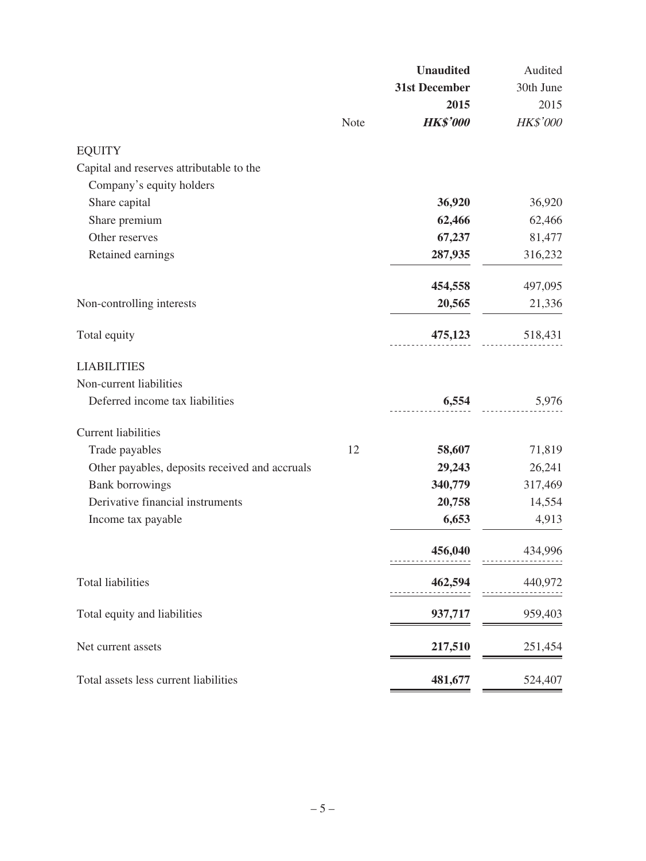|                                                |      | <b>Unaudited</b> | Audited   |
|------------------------------------------------|------|------------------|-----------|
|                                                |      | 31st December    | 30th June |
|                                                |      | 2015             | 2015      |
|                                                | Note | <b>HK\$'000</b>  | HK\$'000  |
| <b>EQUITY</b>                                  |      |                  |           |
| Capital and reserves attributable to the       |      |                  |           |
| Company's equity holders                       |      |                  |           |
| Share capital                                  |      | 36,920           | 36,920    |
| Share premium                                  |      | 62,466           | 62,466    |
| Other reserves                                 |      | 67,237           | 81,477    |
| Retained earnings                              |      | 287,935          | 316,232   |
|                                                |      | 454,558          | 497,095   |
| Non-controlling interests                      |      | 20,565           | 21,336    |
| Total equity                                   |      | 475,123          | 518,431   |
| <b>LIABILITIES</b>                             |      |                  |           |
| Non-current liabilities                        |      |                  |           |
| Deferred income tax liabilities                |      | 6,554            | 5,976     |
| <b>Current liabilities</b>                     |      |                  |           |
| Trade payables                                 | 12   | 58,607           | 71,819    |
| Other payables, deposits received and accruals |      | 29,243           | 26,241    |
| <b>Bank borrowings</b>                         |      | 340,779          | 317,469   |
| Derivative financial instruments               |      | 20,758           | 14,554    |
| Income tax payable                             |      | 6,653            | 4,913     |
|                                                |      | 456,040          | 434,996   |
| <b>Total liabilities</b>                       |      | 462,594          | 440,972   |
| Total equity and liabilities                   |      | 937,717          | 959,403   |
| Net current assets                             |      | 217,510          | 251,454   |
| Total assets less current liabilities          |      | 481,677          | 524,407   |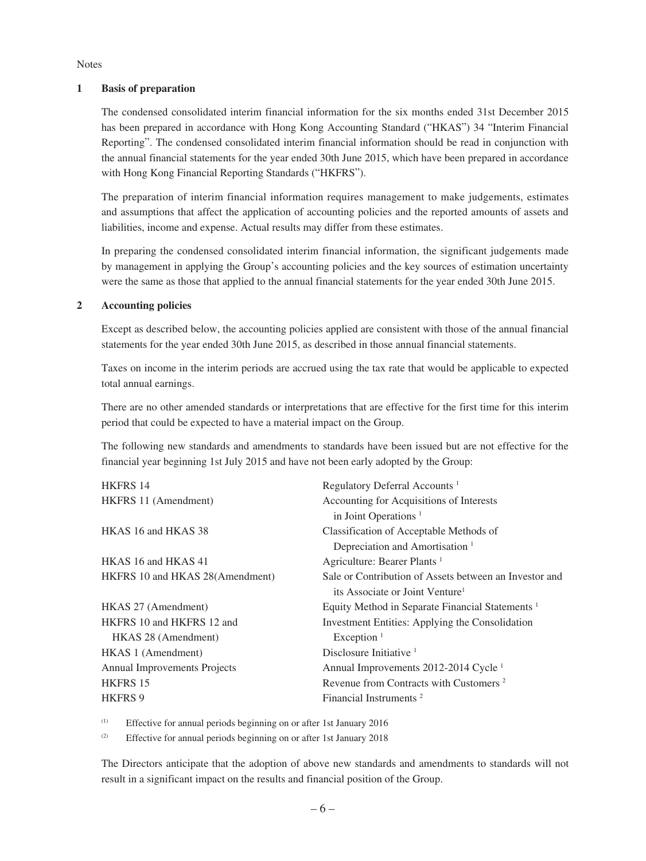**Notes** 

#### **1 Basis of preparation**

The condensed consolidated interim financial information for the six months ended 31st December 2015 has been prepared in accordance with Hong Kong Accounting Standard ("HKAS") 34 "Interim Financial Reporting". The condensed consolidated interim financial information should be read in conjunction with the annual financial statements for the year ended 30th June 2015, which have been prepared in accordance with Hong Kong Financial Reporting Standards ("HKFRS").

The preparation of interim financial information requires management to make judgements, estimates and assumptions that affect the application of accounting policies and the reported amounts of assets and liabilities, income and expense. Actual results may differ from these estimates.

In preparing the condensed consolidated interim financial information, the significant judgements made by management in applying the Group's accounting policies and the key sources of estimation uncertainty were the same as those that applied to the annual financial statements for the year ended 30th June 2015.

#### **2 Accounting policies**

Except as described below, the accounting policies applied are consistent with those of the annual financial statements for the year ended 30th June 2015, as described in those annual financial statements.

Taxes on income in the interim periods are accrued using the tax rate that would be applicable to expected total annual earnings.

There are no other amended standards or interpretations that are effective for the first time for this interim period that could be expected to have a material impact on the Group.

The following new standards and amendments to standards have been issued but are not effective for the financial year beginning 1st July 2015 and have not been early adopted by the Group:

| <b>HKFRS 14</b>                     | Regulatory Deferral Accounts <sup>1</sup>                   |
|-------------------------------------|-------------------------------------------------------------|
| HKFRS 11 (Amendment)                | Accounting for Acquisitions of Interests                    |
|                                     | in Joint Operations <sup><math>1</math></sup>               |
| HKAS 16 and HKAS 38                 | Classification of Acceptable Methods of                     |
|                                     | Depreciation and Amortisation <sup>1</sup>                  |
| HKAS 16 and HKAS 41                 | Agriculture: Bearer Plants <sup>1</sup>                     |
| HKFRS 10 and HKAS 28(Amendment)     | Sale or Contribution of Assets between an Investor and      |
|                                     | its Associate or Joint Venture <sup>1</sup>                 |
| HKAS 27 (Amendment)                 | Equity Method in Separate Financial Statements <sup>1</sup> |
| HKFRS 10 and HKFRS 12 and           | Investment Entities: Applying the Consolidation             |
| HKAS 28 (Amendment)                 | Exception $1$                                               |
| HKAS 1 (Amendment)                  | Disclosure Initiative $1$                                   |
| <b>Annual Improvements Projects</b> | Annual Improvements 2012-2014 Cycle <sup>1</sup>            |
| <b>HKFRS 15</b>                     | Revenue from Contracts with Customers <sup>2</sup>          |
| <b>HKFRS 9</b>                      | Financial Instruments <sup>2</sup>                          |
|                                     |                                                             |

(1) Effective for annual periods beginning on or after 1st January 2016

(2) Effective for annual periods beginning on or after 1st January 2018

The Directors anticipate that the adoption of above new standards and amendments to standards will not result in a significant impact on the results and financial position of the Group.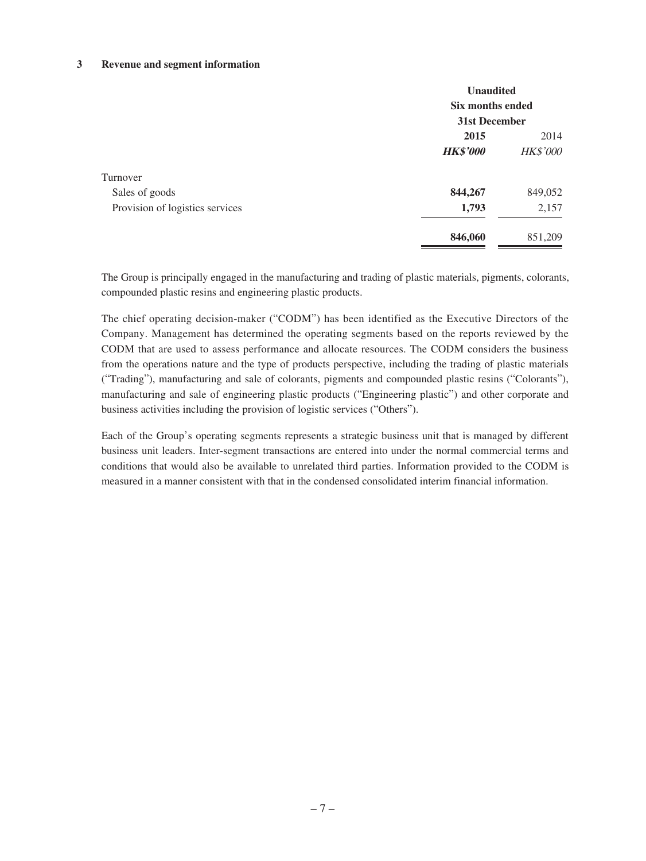#### **3 Revenue and segment information**

|                                 | <b>Unaudited</b><br>Six months ended |                 |  |
|---------------------------------|--------------------------------------|-----------------|--|
|                                 | 31st December                        |                 |  |
|                                 | 2015                                 | 2014            |  |
|                                 | <b>HK\$'000</b>                      | <b>HK\$'000</b> |  |
| Turnover                        |                                      |                 |  |
| Sales of goods                  | 844,267                              | 849,052         |  |
| Provision of logistics services | 1,793                                | 2,157           |  |
|                                 | 846,060                              | 851,209         |  |

The Group is principally engaged in the manufacturing and trading of plastic materials, pigments, colorants, compounded plastic resins and engineering plastic products.

The chief operating decision-maker ("CODM") has been identified as the Executive Directors of the Company. Management has determined the operating segments based on the reports reviewed by the CODM that are used to assess performance and allocate resources. The CODM considers the business from the operations nature and the type of products perspective, including the trading of plastic materials ("Trading"), manufacturing and sale of colorants, pigments and compounded plastic resins ("Colorants"), manufacturing and sale of engineering plastic products ("Engineering plastic") and other corporate and business activities including the provision of logistic services ("Others").

Each of the Group's operating segments represents a strategic business unit that is managed by different business unit leaders. Inter-segment transactions are entered into under the normal commercial terms and conditions that would also be available to unrelated third parties. Information provided to the CODM is measured in a manner consistent with that in the condensed consolidated interim financial information.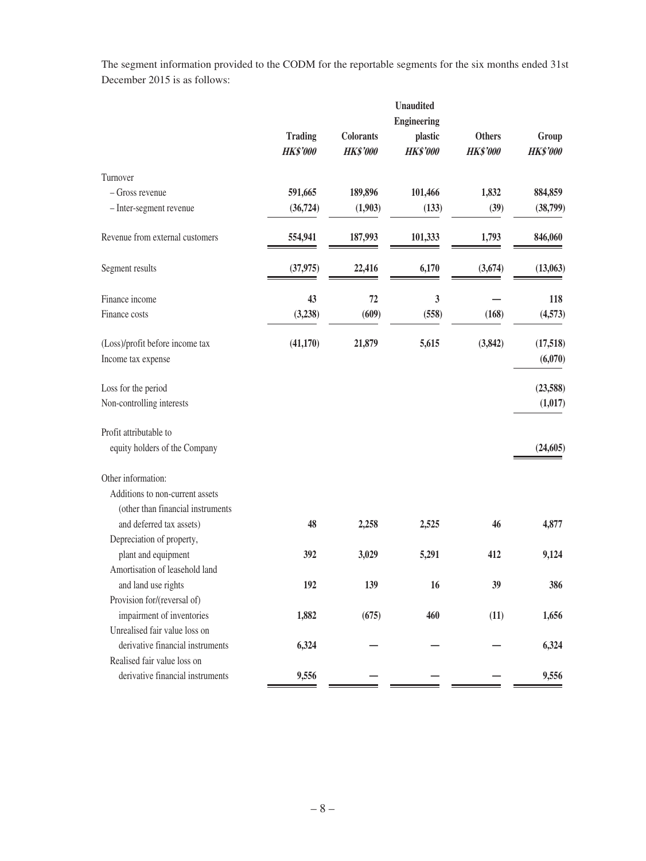The segment information provided to the CODM for the reportable segments for the six months ended 31st December 2015 is as follows:

|                                   |                    |                  | <b>Unaudited</b> |                 |                 |  |
|-----------------------------------|--------------------|------------------|------------------|-----------------|-----------------|--|
|                                   | <b>Engineering</b> |                  |                  |                 |                 |  |
|                                   | <b>Trading</b>     | <b>Colorants</b> | plastic          | <b>Others</b>   | Group           |  |
|                                   | <b>HK\$'000</b>    | <b>HK\$'000</b>  | <b>HK\$'000</b>  | <b>HK\$'000</b> | <b>HK\$'000</b> |  |
| Turnover                          |                    |                  |                  |                 |                 |  |
| $-$ Gross revenue                 | 591,665            | 189,896          | 101,466          | 1,832           | 884,859         |  |
| - Inter-segment revenue           | (36, 724)          | (1,903)          | (133)            | (39)            | (38,799)        |  |
| Revenue from external customers   | 554,941            | 187,993          | 101,333          | 1,793           | 846,060         |  |
| Segment results                   | (37, 975)          | 22,416           | 6,170            | (3,674)         | (13,063)        |  |
| Finance income                    | 43                 | 72               | 3                |                 | 118             |  |
| Finance costs                     | (3,238)            | (609)            | (558)            | (168)           | (4,573)         |  |
| (Loss)/profit before income tax   | (41, 170)          | 21,879           | 5,615            | (3, 842)        | (17,518)        |  |
| Income tax expense                |                    |                  |                  |                 | (6,070)         |  |
| Loss for the period               |                    |                  |                  |                 | (23,588)        |  |
| Non-controlling interests         |                    |                  |                  |                 | (1,017)         |  |
| Profit attributable to            |                    |                  |                  |                 |                 |  |
| equity holders of the Company     |                    |                  |                  |                 | (24, 605)       |  |
| Other information:                |                    |                  |                  |                 |                 |  |
| Additions to non-current assets   |                    |                  |                  |                 |                 |  |
| (other than financial instruments |                    |                  |                  |                 |                 |  |
| and deferred tax assets)          | 48                 | 2,258            | 2,525            | 46              | 4,877           |  |
| Depreciation of property,         |                    |                  |                  |                 |                 |  |
| plant and equipment               | 392                | 3,029            | 5,291            | 412             | 9,124           |  |
| Amortisation of leasehold land    |                    |                  |                  |                 |                 |  |
| and land use rights               | 192                | 139              | 16               | 39              | 386             |  |
| Provision for/(reversal of)       |                    |                  |                  |                 |                 |  |
| impairment of inventories         | 1,882              | (675)            | 460              | (11)            | 1,656           |  |
| Unrealised fair value loss on     |                    |                  |                  |                 |                 |  |
| derivative financial instruments  | 6,324              |                  |                  |                 | 6,324           |  |
| Realised fair value loss on       |                    |                  |                  |                 |                 |  |
| derivative financial instruments  | 9,556              |                  |                  |                 | 9,556           |  |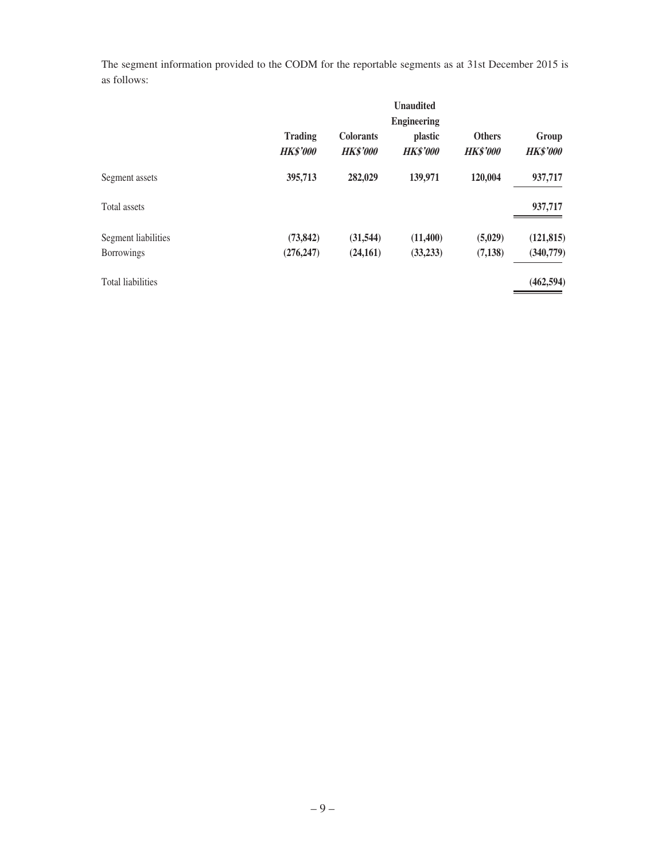The segment information provided to the CODM for the reportable segments as at 31st December 2015 is as follows:

|                          |                                   |                                     | <b>Unaudited</b>           |                                  |                          |
|--------------------------|-----------------------------------|-------------------------------------|----------------------------|----------------------------------|--------------------------|
|                          |                                   |                                     | <b>Engineering</b>         |                                  |                          |
|                          | <b>Trading</b><br><b>HK\$'000</b> | <b>Colorants</b><br><b>HK\$'000</b> | plastic<br><b>HK\$'000</b> | <b>Others</b><br><b>HK\$'000</b> | Group<br><b>HK\$'000</b> |
| Segment assets           | 395,713                           | 282,029                             | 139,971                    | 120,004                          | 937,717                  |
| Total assets             |                                   |                                     |                            |                                  | 937,717                  |
| Segment liabilities      | (73, 842)                         | (31, 544)                           | (11,400)                   | (5,029)                          | (121, 815)               |
| <b>Borrowings</b>        | (276, 247)                        | (24,161)                            | (33,233)                   | (7, 138)                         | (340,779)                |
| <b>Total liabilities</b> |                                   |                                     |                            |                                  | (462, 594)               |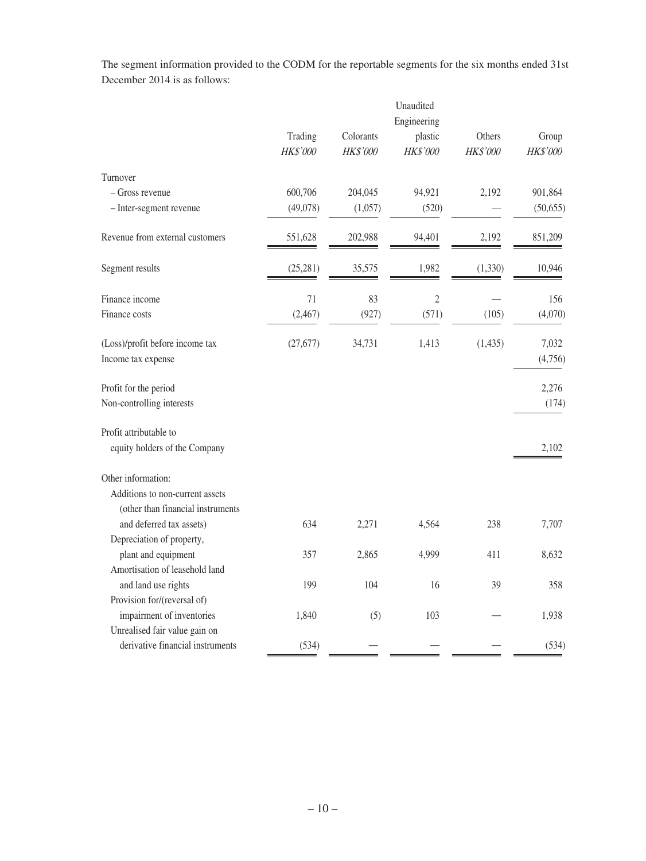The segment information provided to the CODM for the reportable segments for the six months ended 31st December 2014 is as follows:

|                                    | Trading   |           | Engineering    |          |           |
|------------------------------------|-----------|-----------|----------------|----------|-----------|
|                                    |           | Colorants | plastic        | Others   | Group     |
|                                    | HK\$'000  | HK\$'000  | HK\$'000       | HK\$'000 | HK\$'000  |
| Turnover                           |           |           |                |          |           |
| - Gross revenue                    | 600,706   | 204,045   | 94,921         | 2,192    | 901,864   |
| - Inter-segment revenue            | (49,078)  | (1,057)   | (520)          |          | (50, 655) |
| Revenue from external customers    | 551,628   | 202,988   | 94,401         | 2,192    | 851,209   |
| Segment results                    | (25, 281) | 35,575    | 1,982          | (1,330)  | 10,946    |
| Finance income                     | 71        | 83        | $\overline{2}$ |          | 156       |
| Finance costs                      | (2,467)   | (927)     | (571)          | (105)    | (4,070)   |
| (Loss)/profit before income tax    | (27, 677) | 34,731    | 1,413          | (1, 435) | 7,032     |
| Income tax expense                 |           |           |                |          | (4,756)   |
| Profit for the period              |           |           |                |          | 2,276     |
| Non-controlling interests          |           |           |                |          | (174)     |
| Profit attributable to             |           |           |                |          |           |
| equity holders of the Company      |           |           |                |          | 2,102     |
| Other information:                 |           |           |                |          |           |
| Additions to non-current assets    |           |           |                |          |           |
| (other than financial instruments) |           |           |                |          |           |
| and deferred tax assets)           | 634       | 2,271     | 4,564          | 238      | 7,707     |
| Depreciation of property,          |           |           |                |          |           |
| plant and equipment                | 357       | 2,865     | 4,999          | 411      | 8,632     |
| Amortisation of leasehold land     |           |           |                |          |           |
| and land use rights                | 199       | 104       | 16             | 39       | 358       |
| Provision for/(reversal of)        |           |           |                |          |           |
| impairment of inventories          | 1,840     | (5)       | 103            |          | 1,938     |
| Unrealised fair value gain on      |           |           |                |          |           |
| derivative financial instruments   | (534)     |           |                |          | (534)     |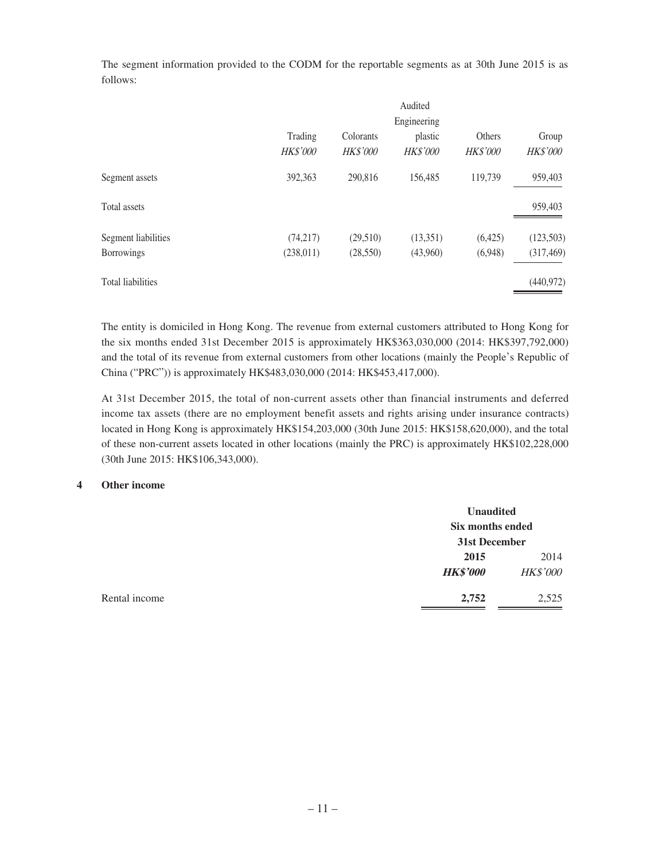The segment information provided to the CODM for the reportable segments as at 30th June 2015 is as follows:

|                          |                            |                              | Audited                    |                           |                   |
|--------------------------|----------------------------|------------------------------|----------------------------|---------------------------|-------------------|
|                          |                            |                              | Engineering                |                           |                   |
|                          | Trading<br><b>HK\$'000</b> | Colorants<br><b>HK\$'000</b> | plastic<br><b>HK\$'000</b> | Others<br><b>HK\$'000</b> | Group<br>HK\$'000 |
| Segment assets           | 392,363                    | 290,816                      | 156,485                    | 119.739                   | 959,403           |
| Total assets             |                            |                              |                            |                           | 959,403           |
| Segment liabilities      | (74, 217)                  | (29,510)                     | (13,351)                   | (6,425)                   | (123,503)         |
| <b>Borrowings</b>        | (238, 011)                 | (28, 550)                    | (43,960)                   | (6,948)                   | (317, 469)        |
| <b>Total liabilities</b> |                            |                              |                            |                           | (440, 972)        |

The entity is domiciled in Hong Kong. The revenue from external customers attributed to Hong Kong for the six months ended 31st December 2015 is approximately HK\$363,030,000 (2014: HK\$397,792,000) and the total of its revenue from external customers from other locations (mainly the People's Republic of China ("PRC")) is approximately HK\$483,030,000 (2014: HK\$453,417,000).

At 31st December 2015, the total of non-current assets other than financial instruments and deferred income tax assets (there are no employment benefit assets and rights arising under insurance contracts) located in Hong Kong is approximately HK\$154,203,000 (30th June 2015: HK\$158,620,000), and the total of these non-current assets located in other locations (mainly the PRC) is approximately HK\$102,228,000 (30th June 2015: HK\$106,343,000).

#### **4 Other income**

|               |                 | <b>Unaudited</b> |  |  |
|---------------|-----------------|------------------|--|--|
|               |                 | Six months ended |  |  |
|               | 31st December   |                  |  |  |
|               | 2015            | 2014             |  |  |
|               | <b>HK\$'000</b> | <b>HK\$'000</b>  |  |  |
| Rental income | 2,752           | 2,525            |  |  |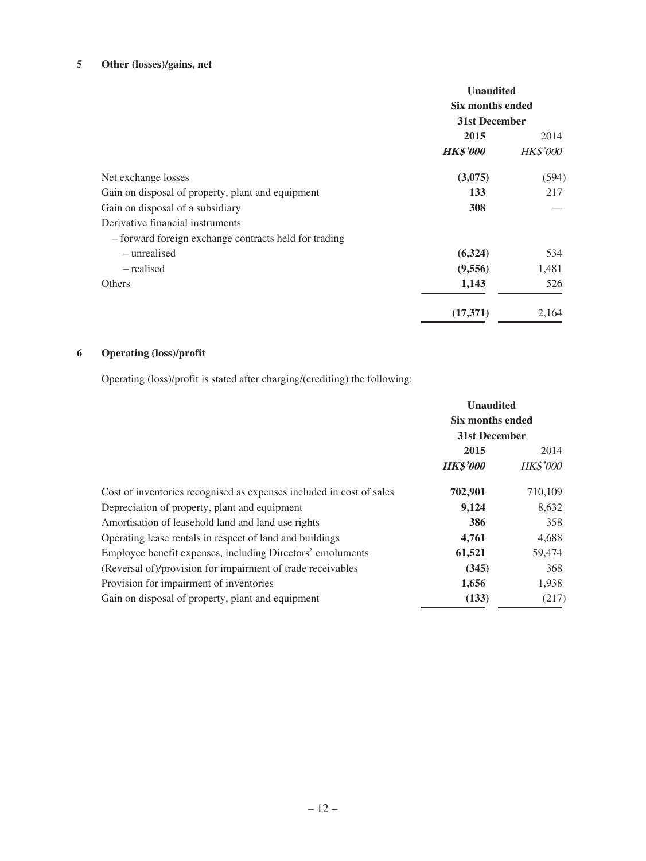# **5 Other (losses)/gains, net**

|                                                       | <b>Unaudited</b><br>Six months ended<br>31st December |                 |
|-------------------------------------------------------|-------------------------------------------------------|-----------------|
|                                                       | 2015                                                  | 2014            |
|                                                       | <b>HK\$'000</b>                                       | <b>HK\$'000</b> |
| Net exchange losses                                   | (3,075)                                               | (594)           |
| Gain on disposal of property, plant and equipment     | 133                                                   | 217             |
| Gain on disposal of a subsidiary                      | 308                                                   |                 |
| Derivative financial instruments                      |                                                       |                 |
| - forward foreign exchange contracts held for trading |                                                       |                 |
| – unrealised                                          | (6,324)                                               | 534             |
| – realised                                            | (9,556)                                               | 1,481           |
| Others                                                | 1,143                                                 | 526             |
|                                                       | (17,371)                                              | 2,164           |

# **6 Operating (loss)/profit**

Operating (loss)/profit is stated after charging/(crediting) the following:

|                                                                      | <b>Unaudited</b><br>Six months ended<br>31st December |                 |
|----------------------------------------------------------------------|-------------------------------------------------------|-----------------|
|                                                                      |                                                       |                 |
|                                                                      |                                                       |                 |
|                                                                      | 2015                                                  | 2014            |
|                                                                      | <b>HK\$'000</b>                                       | <b>HK\$'000</b> |
| Cost of inventories recognised as expenses included in cost of sales | 702,901                                               | 710,109         |
| Depreciation of property, plant and equipment                        | 9,124                                                 | 8,632           |
| Amortisation of leasehold land and land use rights                   | 386                                                   | 358             |
| Operating lease rentals in respect of land and buildings             | 4,761                                                 | 4,688           |
| Employee benefit expenses, including Directors' emoluments           | 61,521                                                | 59,474          |
| (Reversal of)/provision for impairment of trade receivables          | (345)                                                 | 368             |
| Provision for impairment of inventories                              | 1,656                                                 | 1,938           |
| Gain on disposal of property, plant and equipment                    | (133)                                                 | (217)           |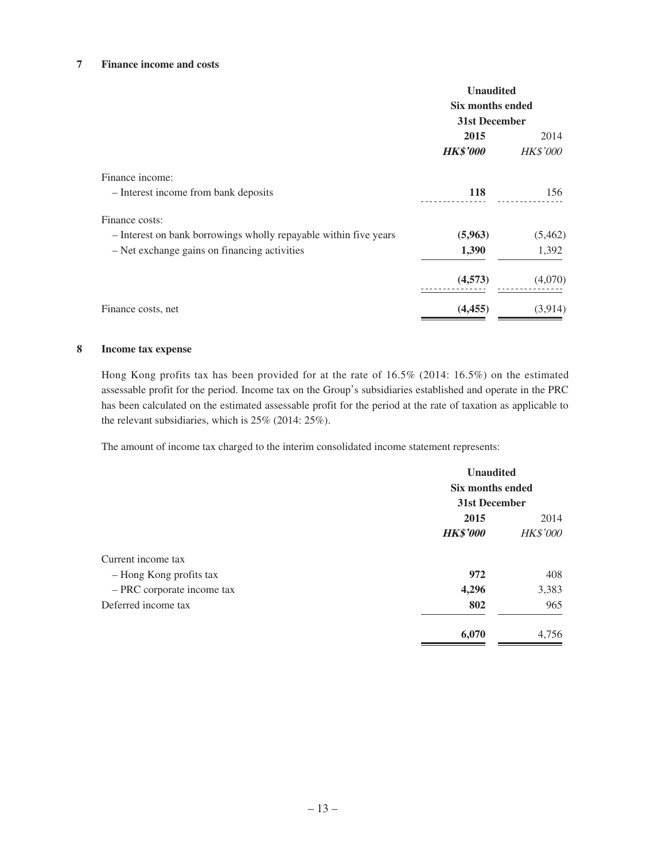#### **7 Finance income and costs**

|                                                                  | <b>Unaudited</b><br>Six months ended<br>31st December |                 |
|------------------------------------------------------------------|-------------------------------------------------------|-----------------|
|                                                                  |                                                       |                 |
|                                                                  |                                                       |                 |
|                                                                  | 2015                                                  | 2014            |
|                                                                  | <b>HK\$'000</b>                                       | <b>HK\$'000</b> |
| Finance income:                                                  |                                                       |                 |
| - Interest income from bank deposits                             | 118                                                   | 156             |
| Finance costs:                                                   |                                                       |                 |
| - Interest on bank borrowings wholly repayable within five years | (5,963)                                               | (5,462)         |
| - Net exchange gains on financing activities                     | 1,390                                                 | 1,392           |
|                                                                  | (4,573)                                               | (4,070)         |
| Finance costs, net                                               | (4, 455)                                              | (3,914)         |

#### **8 Income tax expense**

Hong Kong profits tax has been provided for at the rate of 16.5% (2014: 16.5%) on the estimated assessable profit for the period. Income tax on the Group's subsidiaries established and operate in the PRC has been calculated on the estimated assessable profit for the period at the rate of taxation as applicable to the relevant subsidiaries, which is 25% (2014: 25%).

The amount of income tax charged to the interim consolidated income statement represents:

|                            | <b>Unaudited</b><br>Six months ended<br>31st December |                 |
|----------------------------|-------------------------------------------------------|-----------------|
|                            |                                                       |                 |
|                            |                                                       |                 |
|                            | 2015                                                  | 2014            |
|                            | <b>HK\$'000</b>                                       | <b>HK\$'000</b> |
| Current income tax         |                                                       |                 |
| - Hong Kong profits tax    | 972                                                   | 408             |
| - PRC corporate income tax | 4,296                                                 | 3,383           |
| Deferred income tax        | 802                                                   | 965             |
|                            | 6,070                                                 | 4,756           |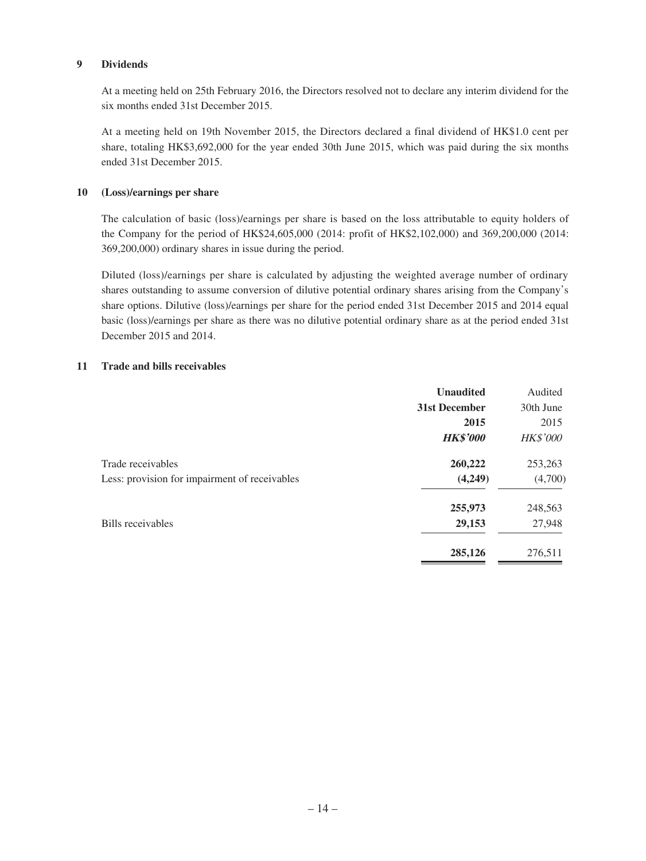#### **9 Dividends**

At a meeting held on 25th February 2016, the Directors resolved not to declare any interim dividend for the six months ended 31st December 2015.

At a meeting held on 19th November 2015, the Directors declared a final dividend of HK\$1.0 cent per share, totaling HK\$3,692,000 for the year ended 30th June 2015, which was paid during the six months ended 31st December 2015.

#### **10 (Loss)/earnings per share**

The calculation of basic (loss)/earnings per share is based on the loss attributable to equity holders of the Company for the period of HK\$24,605,000 (2014: profit of HK\$2,102,000) and 369,200,000 (2014: 369,200,000) ordinary shares in issue during the period.

Diluted (loss)/earnings per share is calculated by adjusting the weighted average number of ordinary shares outstanding to assume conversion of dilutive potential ordinary shares arising from the Company's share options. Dilutive (loss)/earnings per share for the period ended 31st December 2015 and 2014 equal basic (loss)/earnings per share as there was no dilutive potential ordinary share as at the period ended 31st December 2015 and 2014.

#### **11 Trade and bills receivables**

|                                               | <b>Unaudited</b> | Audited         |
|-----------------------------------------------|------------------|-----------------|
|                                               | 31st December    | 30th June       |
|                                               | 2015             | 2015            |
|                                               | <b>HK\$'000</b>  | <b>HK\$'000</b> |
| Trade receivables                             | 260,222          | 253,263         |
| Less: provision for impairment of receivables | (4,249)          | (4,700)         |
|                                               | 255,973          | 248,563         |
| Bills receivables                             | 29,153           | 27,948          |
|                                               | 285,126          | 276,511         |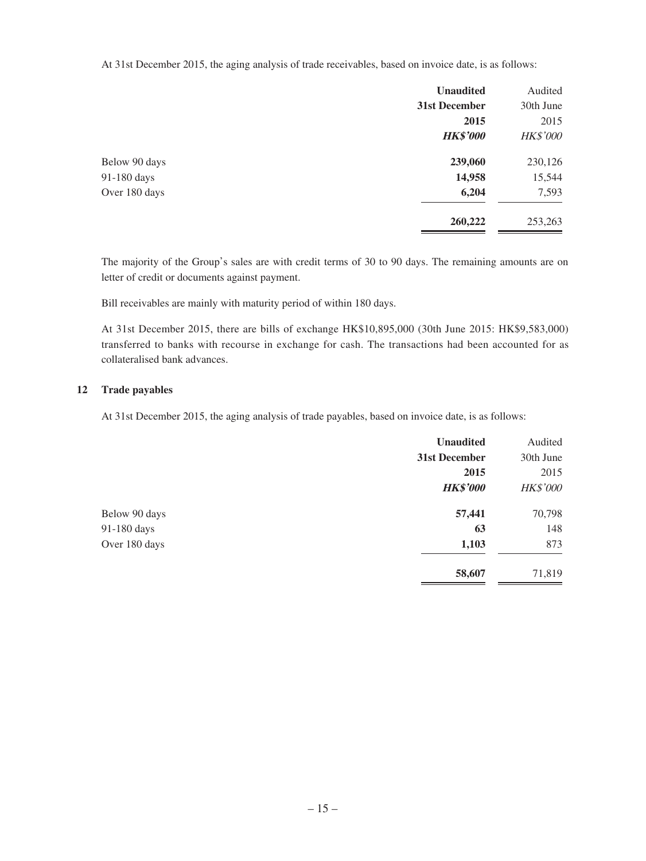At 31st December 2015, the aging analysis of trade receivables, based on invoice date, is as follows:

|               | <b>Unaudited</b> | Audited         |
|---------------|------------------|-----------------|
|               | 31st December    | 30th June       |
|               | 2015             | 2015            |
|               | <b>HK\$'000</b>  | <b>HK\$'000</b> |
| Below 90 days | 239,060          | 230,126         |
| 91-180 days   | 14,958           | 15,544          |
| Over 180 days | 6,204            | 7,593           |
|               | 260,222          | 253,263         |

The majority of the Group's sales are with credit terms of 30 to 90 days. The remaining amounts are on letter of credit or documents against payment.

Bill receivables are mainly with maturity period of within 180 days.

At 31st December 2015, there are bills of exchange HK\$10,895,000 (30th June 2015: HK\$9,583,000) transferred to banks with recourse in exchange for cash. The transactions had been accounted for as collateralised bank advances.

#### **12 Trade payables**

At 31st December 2015, the aging analysis of trade payables, based on invoice date, is as follows:

|               | <b>Unaudited</b> | Audited         |
|---------------|------------------|-----------------|
|               | 31st December    | 30th June       |
|               | 2015             | 2015            |
|               | <b>HK\$'000</b>  | <b>HK\$'000</b> |
| Below 90 days | 57,441           | 70,798          |
| 91-180 days   | 63               | 148             |
| Over 180 days | 1,103            | 873             |
|               | 58,607           | 71,819          |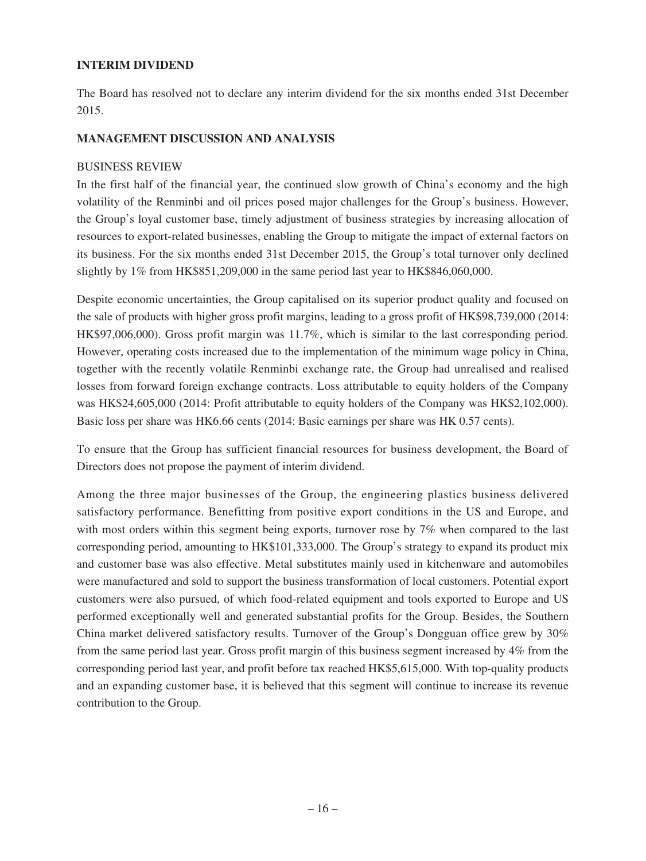### **INTERIM DIVIDEND**

The Board has resolved not to declare any interim dividend for the six months ended 31st December 2015.

### **MANAGEMENT DISCUSSION AND ANALYSIS**

### BUSINESS REVIEW

In the first half of the financial year, the continued slow growth of China's economy and the high volatility of the Renminbi and oil prices posed major challenges for the Group's business. However, the Group's loyal customer base, timely adjustment of business strategies by increasing allocation of resources to export-related businesses, enabling the Group to mitigate the impact of external factors on its business. For the six months ended 31st December 2015, the Group's total turnover only declined slightly by 1% from HK\$851,209,000 in the same period last year to HK\$846,060,000.

Despite economic uncertainties, the Group capitalised on its superior product quality and focused on the sale of products with higher gross profit margins, leading to a gross profit of HK\$98,739,000 (2014: HK\$97,006,000). Gross profit margin was 11.7%, which is similar to the last corresponding period. However, operating costs increased due to the implementation of the minimum wage policy in China, together with the recently volatile Renminbi exchange rate, the Group had unrealised and realised losses from forward foreign exchange contracts. Loss attributable to equity holders of the Company was HK\$24,605,000 (2014: Profit attributable to equity holders of the Company was HK\$2,102,000). Basic loss per share was HK6.66 cents (2014: Basic earnings per share was HK 0.57 cents).

To ensure that the Group has sufficient financial resources for business development, the Board of Directors does not propose the payment of interim dividend.

Among the three major businesses of the Group, the engineering plastics business delivered satisfactory performance. Benefitting from positive export conditions in the US and Europe, and with most orders within this segment being exports, turnover rose by 7% when compared to the last corresponding period, amounting to HK\$101,333,000. The Group's strategy to expand its product mix and customer base was also effective. Metal substitutes mainly used in kitchenware and automobiles were manufactured and sold to support the business transformation of local customers. Potential export customers were also pursued, of which food-related equipment and tools exported to Europe and US performed exceptionally well and generated substantial profits for the Group. Besides, the Southern China market delivered satisfactory results. Turnover of the Group's Dongguan office grew by 30% from the same period last year. Gross profit margin of this business segment increased by 4% from the corresponding period last year, and profit before tax reached HK\$5,615,000. With top-quality products and an expanding customer base, it is believed that this segment will continue to increase its revenue contribution to the Group.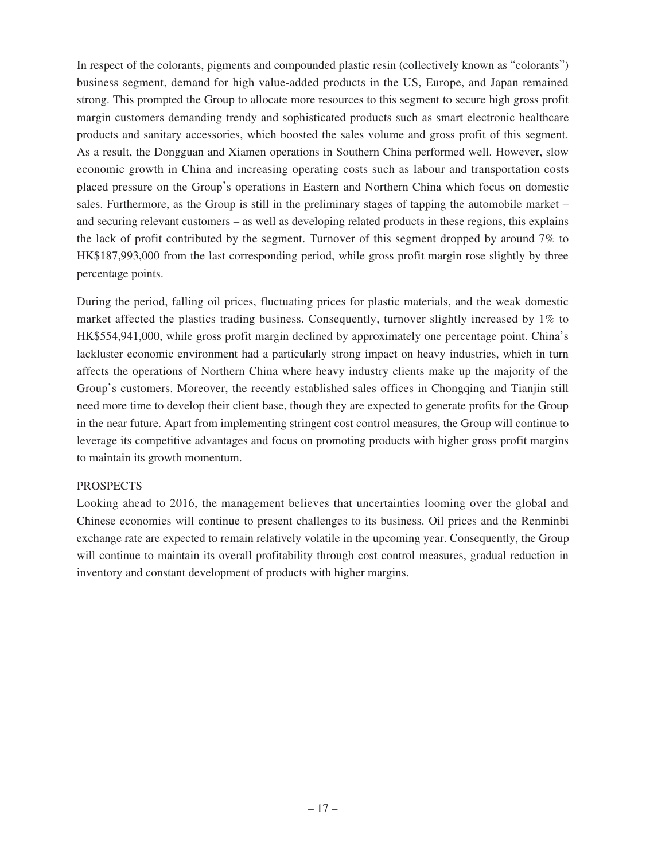In respect of the colorants, pigments and compounded plastic resin (collectively known as "colorants") business segment, demand for high value-added products in the US, Europe, and Japan remained strong. This prompted the Group to allocate more resources to this segment to secure high gross profit margin customers demanding trendy and sophisticated products such as smart electronic healthcare products and sanitary accessories, which boosted the sales volume and gross profit of this segment. As a result, the Dongguan and Xiamen operations in Southern China performed well. However, slow economic growth in China and increasing operating costs such as labour and transportation costs placed pressure on the Group's operations in Eastern and Northern China which focus on domestic sales. Furthermore, as the Group is still in the preliminary stages of tapping the automobile market – and securing relevant customers – as well as developing related products in these regions, this explains the lack of profit contributed by the segment. Turnover of this segment dropped by around 7% to HK\$187,993,000 from the last corresponding period, while gross profit margin rose slightly by three percentage points.

During the period, falling oil prices, fluctuating prices for plastic materials, and the weak domestic market affected the plastics trading business. Consequently, turnover slightly increased by 1% to HK\$554,941,000, while gross profit margin declined by approximately one percentage point. China's lackluster economic environment had a particularly strong impact on heavy industries, which in turn affects the operations of Northern China where heavy industry clients make up the majority of the Group's customers. Moreover, the recently established sales offices in Chongqing and Tianjin still need more time to develop their client base, though they are expected to generate profits for the Group in the near future. Apart from implementing stringent cost control measures, the Group will continue to leverage its competitive advantages and focus on promoting products with higher gross profit margins to maintain its growth momentum.

### PROSPECTS

Looking ahead to 2016, the management believes that uncertainties looming over the global and Chinese economies will continue to present challenges to its business. Oil prices and the Renminbi exchange rate are expected to remain relatively volatile in the upcoming year. Consequently, the Group will continue to maintain its overall profitability through cost control measures, gradual reduction in inventory and constant development of products with higher margins.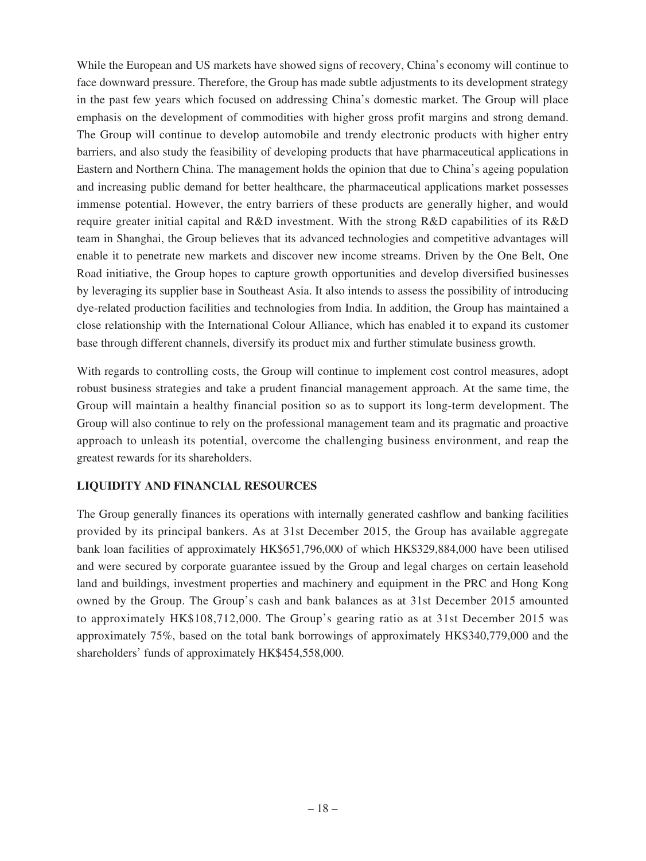While the European and US markets have showed signs of recovery, China's economy will continue to face downward pressure. Therefore, the Group has made subtle adjustments to its development strategy in the past few years which focused on addressing China's domestic market. The Group will place emphasis on the development of commodities with higher gross profit margins and strong demand. The Group will continue to develop automobile and trendy electronic products with higher entry barriers, and also study the feasibility of developing products that have pharmaceutical applications in Eastern and Northern China. The management holds the opinion that due to China's ageing population and increasing public demand for better healthcare, the pharmaceutical applications market possesses immense potential. However, the entry barriers of these products are generally higher, and would require greater initial capital and R&D investment. With the strong R&D capabilities of its R&D team in Shanghai, the Group believes that its advanced technologies and competitive advantages will enable it to penetrate new markets and discover new income streams. Driven by the One Belt, One Road initiative, the Group hopes to capture growth opportunities and develop diversified businesses by leveraging its supplier base in Southeast Asia. It also intends to assess the possibility of introducing dye-related production facilities and technologies from India. In addition, the Group has maintained a close relationship with the International Colour Alliance, which has enabled it to expand its customer base through different channels, diversify its product mix and further stimulate business growth.

With regards to controlling costs, the Group will continue to implement cost control measures, adopt robust business strategies and take a prudent financial management approach. At the same time, the Group will maintain a healthy financial position so as to support its long-term development. The Group will also continue to rely on the professional management team and its pragmatic and proactive approach to unleash its potential, overcome the challenging business environment, and reap the greatest rewards for its shareholders.

## **LIQUIDITY AND FINANCIAL RESOURCES**

The Group generally finances its operations with internally generated cashflow and banking facilities provided by its principal bankers. As at 31st December 2015, the Group has available aggregate bank loan facilities of approximately HK\$651,796,000 of which HK\$329,884,000 have been utilised and were secured by corporate guarantee issued by the Group and legal charges on certain leasehold land and buildings, investment properties and machinery and equipment in the PRC and Hong Kong owned by the Group. The Group's cash and bank balances as at 31st December 2015 amounted to approximately HK\$108,712,000. The Group's gearing ratio as at 31st December 2015 was approximately 75%, based on the total bank borrowings of approximately HK\$340,779,000 and the shareholders' funds of approximately HK\$454,558,000.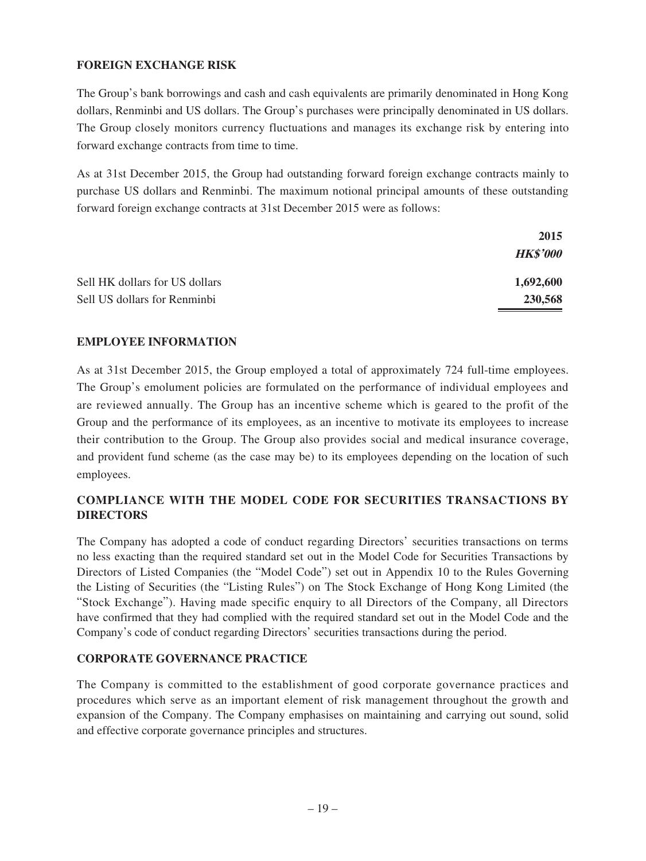## **FOREIGN EXCHANGE RISK**

The Group's bank borrowings and cash and cash equivalents are primarily denominated in Hong Kong dollars, Renminbi and US dollars. The Group's purchases were principally denominated in US dollars. The Group closely monitors currency fluctuations and manages its exchange risk by entering into forward exchange contracts from time to time.

As at 31st December 2015, the Group had outstanding forward foreign exchange contracts mainly to purchase US dollars and Renminbi. The maximum notional principal amounts of these outstanding forward foreign exchange contracts at 31st December 2015 were as follows:

|                                | 2015            |
|--------------------------------|-----------------|
|                                | <b>HK\$'000</b> |
| Sell HK dollars for US dollars | 1,692,600       |
| Sell US dollars for Renminbi   | 230,568         |

## **EMPLOYEE INFORMATION**

As at 31st December 2015, the Group employed a total of approximately 724 full-time employees. The Group's emolument policies are formulated on the performance of individual employees and are reviewed annually. The Group has an incentive scheme which is geared to the profit of the Group and the performance of its employees, as an incentive to motivate its employees to increase their contribution to the Group. The Group also provides social and medical insurance coverage, and provident fund scheme (as the case may be) to its employees depending on the location of such employees.

# **COMPLIANCE WITH THE MODEL CODE FOR SECURITIES TRANSACTIONS BY DIRECTORS**

The Company has adopted a code of conduct regarding Directors' securities transactions on terms no less exacting than the required standard set out in the Model Code for Securities Transactions by Directors of Listed Companies (the "Model Code") set out in Appendix 10 to the Rules Governing the Listing of Securities (the "Listing Rules") on The Stock Exchange of Hong Kong Limited (the "Stock Exchange"). Having made specific enquiry to all Directors of the Company, all Directors have confirmed that they had complied with the required standard set out in the Model Code and the Company's code of conduct regarding Directors' securities transactions during the period.

## **CORPORATE GOVERNANCE PRACTICE**

The Company is committed to the establishment of good corporate governance practices and procedures which serve as an important element of risk management throughout the growth and expansion of the Company. The Company emphasises on maintaining and carrying out sound, solid and effective corporate governance principles and structures.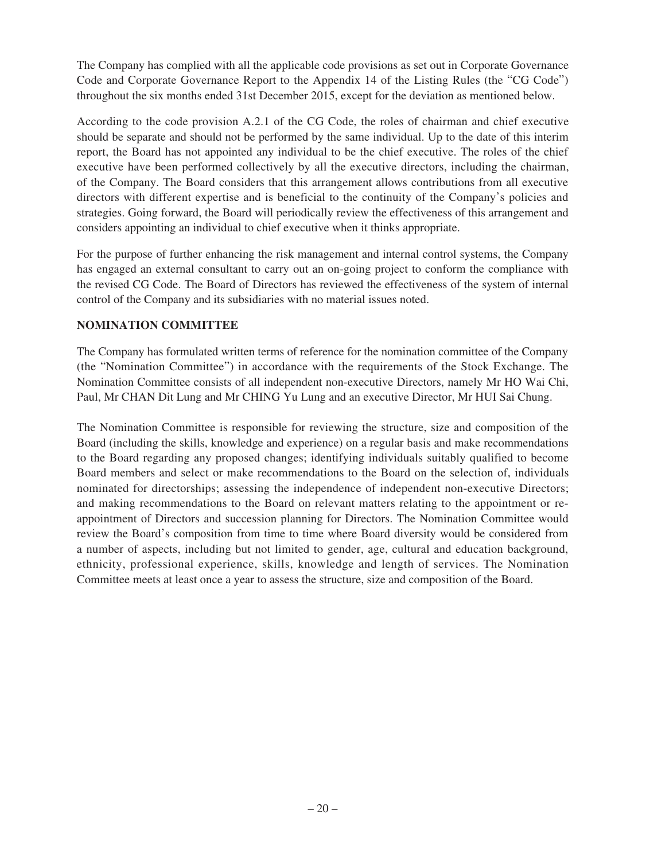The Company has complied with all the applicable code provisions as set out in Corporate Governance Code and Corporate Governance Report to the Appendix 14 of the Listing Rules (the "CG Code") throughout the six months ended 31st December 2015, except for the deviation as mentioned below.

According to the code provision A.2.1 of the CG Code, the roles of chairman and chief executive should be separate and should not be performed by the same individual. Up to the date of this interim report, the Board has not appointed any individual to be the chief executive. The roles of the chief executive have been performed collectively by all the executive directors, including the chairman, of the Company. The Board considers that this arrangement allows contributions from all executive directors with different expertise and is beneficial to the continuity of the Company's policies and strategies. Going forward, the Board will periodically review the effectiveness of this arrangement and considers appointing an individual to chief executive when it thinks appropriate.

For the purpose of further enhancing the risk management and internal control systems, the Company has engaged an external consultant to carry out an on-going project to conform the compliance with the revised CG Code. The Board of Directors has reviewed the effectiveness of the system of internal control of the Company and its subsidiaries with no material issues noted.

## **NOMINATION COMMITTEE**

The Company has formulated written terms of reference for the nomination committee of the Company (the "Nomination Committee") in accordance with the requirements of the Stock Exchange. The Nomination Committee consists of all independent non-executive Directors, namely Mr HO Wai Chi, Paul, Mr CHAN Dit Lung and Mr CHING Yu Lung and an executive Director, Mr HUI Sai Chung.

The Nomination Committee is responsible for reviewing the structure, size and composition of the Board (including the skills, knowledge and experience) on a regular basis and make recommendations to the Board regarding any proposed changes; identifying individuals suitably qualified to become Board members and select or make recommendations to the Board on the selection of, individuals nominated for directorships; assessing the independence of independent non-executive Directors; and making recommendations to the Board on relevant matters relating to the appointment or reappointment of Directors and succession planning for Directors. The Nomination Committee would review the Board's composition from time to time where Board diversity would be considered from a number of aspects, including but not limited to gender, age, cultural and education background, ethnicity, professional experience, skills, knowledge and length of services. The Nomination Committee meets at least once a year to assess the structure, size and composition of the Board.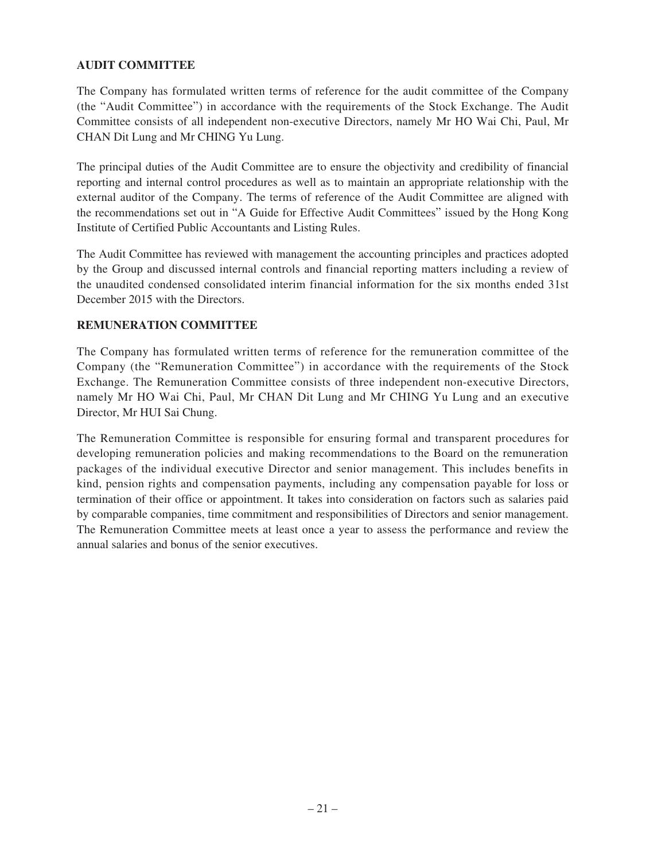## **AUDIT COMMITTEE**

The Company has formulated written terms of reference for the audit committee of the Company (the "Audit Committee") in accordance with the requirements of the Stock Exchange. The Audit Committee consists of all independent non-executive Directors, namely Mr HO Wai Chi, Paul, Mr CHAN Dit Lung and Mr CHING Yu Lung.

The principal duties of the Audit Committee are to ensure the objectivity and credibility of financial reporting and internal control procedures as well as to maintain an appropriate relationship with the external auditor of the Company. The terms of reference of the Audit Committee are aligned with the recommendations set out in "A Guide for Effective Audit Committees" issued by the Hong Kong Institute of Certified Public Accountants and Listing Rules.

The Audit Committee has reviewed with management the accounting principles and practices adopted by the Group and discussed internal controls and financial reporting matters including a review of the unaudited condensed consolidated interim financial information for the six months ended 31st December 2015 with the Directors.

## **REMUNERATION COMMITTEE**

The Company has formulated written terms of reference for the remuneration committee of the Company (the "Remuneration Committee") in accordance with the requirements of the Stock Exchange. The Remuneration Committee consists of three independent non-executive Directors, namely Mr HO Wai Chi, Paul, Mr CHAN Dit Lung and Mr CHING Yu Lung and an executive Director, Mr HUI Sai Chung.

The Remuneration Committee is responsible for ensuring formal and transparent procedures for developing remuneration policies and making recommendations to the Board on the remuneration packages of the individual executive Director and senior management. This includes benefits in kind, pension rights and compensation payments, including any compensation payable for loss or termination of their office or appointment. It takes into consideration on factors such as salaries paid by comparable companies, time commitment and responsibilities of Directors and senior management. The Remuneration Committee meets at least once a year to assess the performance and review the annual salaries and bonus of the senior executives.